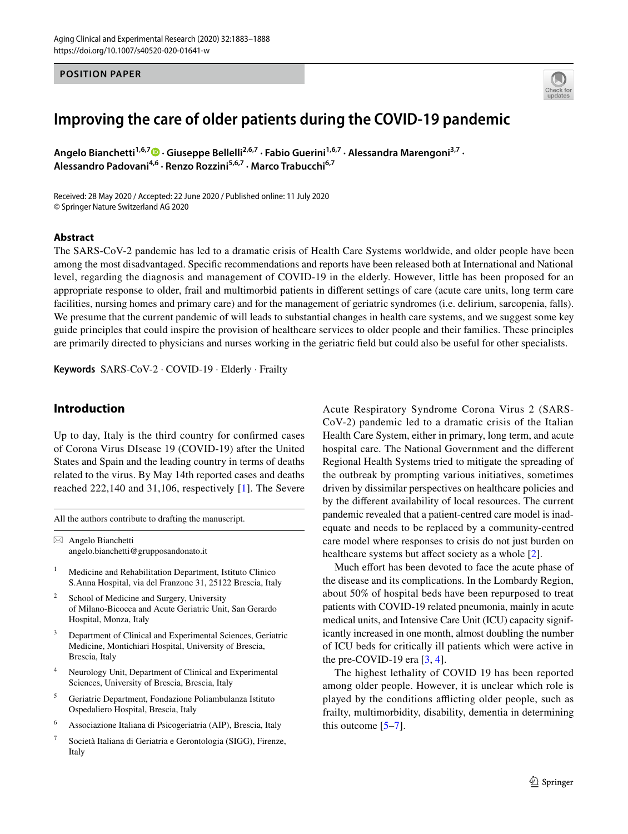### **POSITION PAPER**



# **Improving the care of older patients during the COVID‑19 pandemic**

Angelo Bianchetti<sup>1,6,7</sup> • Giuseppe Bellelli<sup>2,6,7</sup> [·](http://orcid.org/0000-0002-2914-0627) Fabio Guerini<sup>1,6,7</sup> · Alessandra Marengoni<sup>3,7</sup> · **Alessandro Padovani4,6 · Renzo Rozzini5,6,7 · Marco Trabucchi6,7**

Received: 28 May 2020 / Accepted: 22 June 2020 / Published online: 11 July 2020 © Springer Nature Switzerland AG 2020

### **Abstract**

The SARS-CoV-2 pandemic has led to a dramatic crisis of Health Care Systems worldwide, and older people have been among the most disadvantaged. Specifc recommendations and reports have been released both at International and National level, regarding the diagnosis and management of COVID-19 in the elderly. However, little has been proposed for an appropriate response to older, frail and multimorbid patients in diferent settings of care (acute care units, long term care facilities, nursing homes and primary care) and for the management of geriatric syndromes (i.e. delirium, sarcopenia, falls). We presume that the current pandemic of will leads to substantial changes in health care systems, and we suggest some key guide principles that could inspire the provision of healthcare services to older people and their families. These principles are primarily directed to physicians and nurses working in the geriatric feld but could also be useful for other specialists.

**Keywords** SARS-CoV-2 · COVID-19 · Elderly · Frailty

# **Introduction**

Up to day, Italy is the third country for confrmed cases of Corona Virus DIsease 19 (COVID-19) after the United States and Spain and the leading country in terms of deaths related to the virus. By May 14th reported cases and deaths reached 222,140 and 31,106, respectively [[1](#page-4-0)]. The Severe

All the authors contribute to drafting the manuscript.

 $\boxtimes$  Angelo Bianchetti angelo.bianchetti@grupposandonato.it

- <sup>1</sup> Medicine and Rehabilitation Department, Istituto Clinico S.Anna Hospital, via del Franzone 31, 25122 Brescia, Italy
- School of Medicine and Surgery, University of Milano-Bicocca and Acute Geriatric Unit, San Gerardo Hospital, Monza, Italy
- Department of Clinical and Experimental Sciences, Geriatric Medicine, Montichiari Hospital, University of Brescia, Brescia, Italy
- Neurology Unit, Department of Clinical and Experimental Sciences, University of Brescia, Brescia, Italy
- <sup>5</sup> Geriatric Department, Fondazione Poliambulanza Istituto Ospedaliero Hospital, Brescia, Italy
- <sup>6</sup> Associazione Italiana di Psicogeriatria (AIP), Brescia, Italy
- <sup>7</sup> Società Italiana di Geriatria e Gerontologia (SIGG), Firenze, Italy

Acute Respiratory Syndrome Corona Virus 2 (SARS-CoV-2) pandemic led to a dramatic crisis of the Italian Health Care System, either in primary, long term, and acute hospital care. The National Government and the diferent Regional Health Systems tried to mitigate the spreading of the outbreak by prompting various initiatives, sometimes driven by dissimilar perspectives on healthcare policies and by the diferent availability of local resources. The current pandemic revealed that a patient-centred care model is inadequate and needs to be replaced by a community-centred care model where responses to crisis do not just burden on healthcare systems but affect society as a whole [[2\]](#page-4-1).

Much effort has been devoted to face the acute phase of the disease and its complications. In the Lombardy Region, about 50% of hospital beds have been repurposed to treat patients with COVID-19 related pneumonia, mainly in acute medical units, and Intensive Care Unit (ICU) capacity significantly increased in one month, almost doubling the number of ICU beds for critically ill patients which were active in the pre-COVID-19 era  $[3, 4]$  $[3, 4]$  $[3, 4]$  $[3, 4]$ .

The highest lethality of COVID 19 has been reported among older people. However, it is unclear which role is played by the conditions afflicting older people, such as frailty, multimorbidity, disability, dementia in determining this outcome  $[5-7]$  $[5-7]$  $[5-7]$ .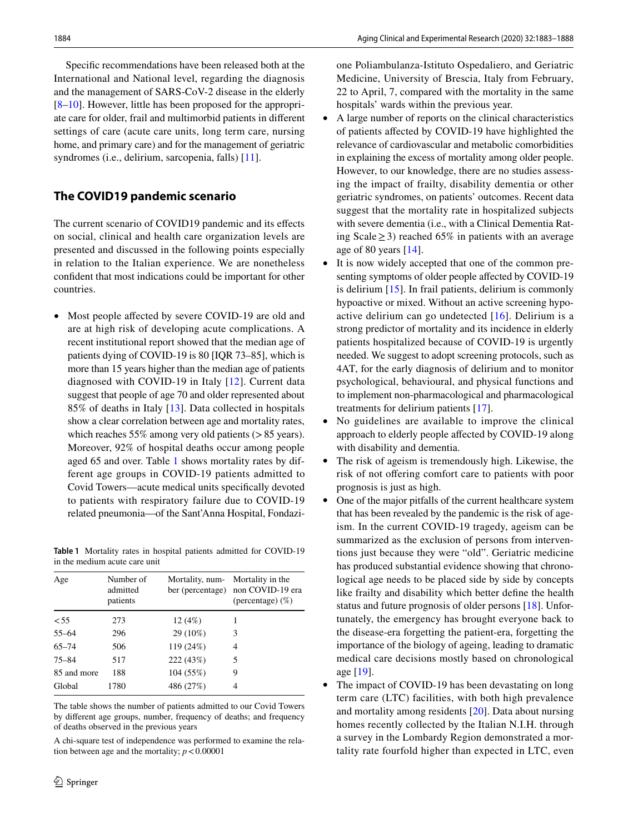Specifc recommendations have been released both at the International and National level, regarding the diagnosis and the management of SARS-CoV-2 disease in the elderly [\[8](#page-4-6)–[10\]](#page-4-7). However, little has been proposed for the appropriate care for older, frail and multimorbid patients in diferent settings of care (acute care units, long term care, nursing home, and primary care) and for the management of geriatric syndromes (i.e., delirium, sarcopenia, falls) [[11](#page-4-8)].

# **The COVID19 pandemic scenario**

The current scenario of COVID19 pandemic and its effects on social, clinical and health care organization levels are presented and discussed in the following points especially in relation to the Italian experience. We are nonetheless confdent that most indications could be important for other countries.

• Most people affected by severe COVID-19 are old and are at high risk of developing acute complications. A recent institutional report showed that the median age of patients dying of COVID-19 is 80 [IQR 73–85], which is more than 15 years higher than the median age of patients diagnosed with COVID-19 in Italy [\[12](#page-4-9)]. Current data suggest that people of age 70 and older represented about 85% of deaths in Italy [[13](#page-4-10)]. Data collected in hospitals show a clear correlation between age and mortality rates, which reaches 55% among very old patients (> 85 years). Moreover, 92% of hospital deaths occur among people aged 65 and over. Table [1](#page-1-0) shows mortality rates by different age groups in COVID-19 patients admitted to Covid Towers—acute medical units specifcally devoted to patients with respiratory failure due to COVID-19 related pneumonia—of the Sant'Anna Hospital, Fondazi-

<span id="page-1-0"></span>**Table 1** Mortality rates in hospital patients admitted for COVID-19 in the medium acute care unit

| Age         | Number of<br>admitted<br>patients | Mortality, num- | Mortality in the<br>ber (percentage) non COVID-19 era<br>(percentage) $(\%)$ |
|-------------|-----------------------------------|-----------------|------------------------------------------------------------------------------|
| < 55        | 273                               | 12(4%)          |                                                                              |
| $55 - 64$   | 296                               | 29 (10%)        | 3                                                                            |
| $65 - 74$   | 506                               | 119 (24%)       | 4                                                                            |
| $75 - 84$   | 517                               | 222 (43%)       | 5                                                                            |
| 85 and more | 188                               | 104 (55%)       | 9                                                                            |
| Global      | 1780                              | 486 (27%)       | 4                                                                            |

The table shows the number of patients admitted to our Covid Towers by diferent age groups, number, frequency of deaths; and frequency of deaths observed in the previous years

A chi-square test of independence was performed to examine the relation between age and the mortality;  $p < 0.00001$ 

one Poliambulanza-Istituto Ospedaliero, and Geriatric Medicine, University of Brescia, Italy from February, 22 to April, 7, compared with the mortality in the same hospitals' wards within the previous year.

- A large number of reports on the clinical characteristics of patients afected by COVID-19 have highlighted the relevance of cardiovascular and metabolic comorbidities in explaining the excess of mortality among older people. However, to our knowledge, there are no studies assessing the impact of frailty, disability dementia or other geriatric syndromes, on patients' outcomes. Recent data suggest that the mortality rate in hospitalized subjects with severe dementia (i.e., with a Clinical Dementia Rating Scale≥3) reached 65% in patients with an average age of 80 years [[14](#page-4-11)].
- It is now widely accepted that one of the common presenting symptoms of older people affected by COVID-19 is delirium [\[15](#page-4-12)]. In frail patients, delirium is commonly hypoactive or mixed. Without an active screening hypoactive delirium can go undetected [[16](#page-4-13)]. Delirium is a strong predictor of mortality and its incidence in elderly patients hospitalized because of COVID-19 is urgently needed. We suggest to adopt screening protocols, such as 4AT, for the early diagnosis of delirium and to monitor psychological, behavioural, and physical functions and to implement non-pharmacological and pharmacological treatments for delirium patients [[17](#page-4-14)].
- No guidelines are available to improve the clinical approach to elderly people afected by COVID-19 along with disability and dementia.
- The risk of ageism is tremendously high. Likewise, the risk of not ofering comfort care to patients with poor prognosis is just as high.
- One of the major pitfalls of the current healthcare system that has been revealed by the pandemic is the risk of ageism. In the current COVID-19 tragedy, ageism can be summarized as the exclusion of persons from interventions just because they were "old". Geriatric medicine has produced substantial evidence showing that chronological age needs to be placed side by side by concepts like frailty and disability which better defne the health status and future prognosis of older persons [\[18](#page-4-15)]. Unfortunately, the emergency has brought everyone back to the disease-era forgetting the patient-era, forgetting the importance of the biology of ageing, leading to dramatic medical care decisions mostly based on chronological age [[19](#page-4-16)].
- The impact of COVID-19 has been devastating on long term care (LTC) facilities, with both high prevalence and mortality among residents [[20\]](#page-4-17). Data about nursing homes recently collected by the Italian N.I.H. through a survey in the Lombardy Region demonstrated a mortality rate fourfold higher than expected in LTC, even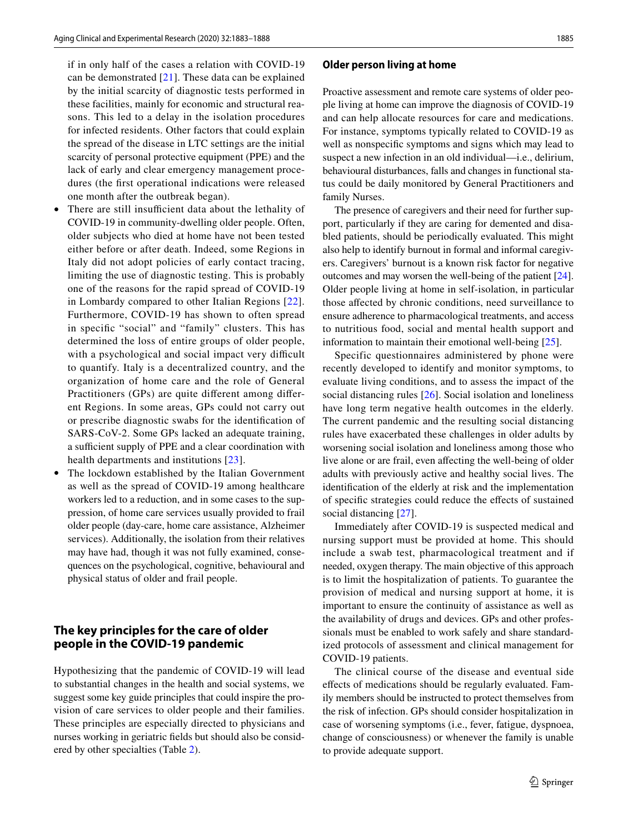if in only half of the cases a relation with COVID-19 can be demonstrated [[21\]](#page-5-0). These data can be explained by the initial scarcity of diagnostic tests performed in these facilities, mainly for economic and structural reasons. This led to a delay in the isolation procedures for infected residents. Other factors that could explain the spread of the disease in LTC settings are the initial scarcity of personal protective equipment (PPE) and the lack of early and clear emergency management procedures (the frst operational indications were released one month after the outbreak began).

- There are still insufficient data about the lethality of COVID-19 in community-dwelling older people. Often, older subjects who died at home have not been tested either before or after death. Indeed, some Regions in Italy did not adopt policies of early contact tracing, limiting the use of diagnostic testing. This is probably one of the reasons for the rapid spread of COVID-19 in Lombardy compared to other Italian Regions [[22\]](#page-5-1). Furthermore, COVID-19 has shown to often spread in specifc "social" and "family" clusters. This has determined the loss of entire groups of older people, with a psychological and social impact very difficult to quantify. Italy is a decentralized country, and the organization of home care and the role of General Practitioners (GPs) are quite diferent among diferent Regions. In some areas, GPs could not carry out or prescribe diagnostic swabs for the identifcation of SARS-CoV-2. Some GPs lacked an adequate training, a sufficient supply of PPE and a clear coordination with health departments and institutions [[23\]](#page-5-2).
- The lockdown established by the Italian Government as well as the spread of COVID-19 among healthcare workers led to a reduction, and in some cases to the suppression, of home care services usually provided to frail older people (day-care, home care assistance, Alzheimer services). Additionally, the isolation from their relatives may have had, though it was not fully examined, consequences on the psychological, cognitive, behavioural and physical status of older and frail people.

# **The key principles for the care of older people in the COVID‑19 pandemic**

Hypothesizing that the pandemic of COVID-19 will lead to substantial changes in the health and social systems, we suggest some key guide principles that could inspire the provision of care services to older people and their families. These principles are especially directed to physicians and nurses working in geriatric felds but should also be considered by other specialties (Table [2\)](#page-3-0).

#### **Older person living at home**

Proactive assessment and remote care systems of older people living at home can improve the diagnosis of COVID-19 and can help allocate resources for care and medications. For instance, symptoms typically related to COVID-19 as well as nonspecifc symptoms and signs which may lead to suspect a new infection in an old individual—i.e., delirium, behavioural disturbances, falls and changes in functional status could be daily monitored by General Practitioners and family Nurses.

The presence of caregivers and their need for further support, particularly if they are caring for demented and disabled patients, should be periodically evaluated. This might also help to identify burnout in formal and informal caregivers. Caregivers' burnout is a known risk factor for negative outcomes and may worsen the well-being of the patient [[24](#page-5-3)]. Older people living at home in self-isolation, in particular those afected by chronic conditions, need surveillance to ensure adherence to pharmacological treatments, and access to nutritious food, social and mental health support and information to maintain their emotional well-being [\[25](#page-5-4)].

Specific questionnaires administered by phone were recently developed to identify and monitor symptoms, to evaluate living conditions, and to assess the impact of the social distancing rules [[26\]](#page-5-5). Social isolation and loneliness have long term negative health outcomes in the elderly. The current pandemic and the resulting social distancing rules have exacerbated these challenges in older adults by worsening social isolation and loneliness among those who live alone or are frail, even afecting the well-being of older adults with previously active and healthy social lives. The identifcation of the elderly at risk and the implementation of specifc strategies could reduce the efects of sustained social distancing [[27\]](#page-5-6).

Immediately after COVID-19 is suspected medical and nursing support must be provided at home. This should include a swab test, pharmacological treatment and if needed, oxygen therapy. The main objective of this approach is to limit the hospitalization of patients. To guarantee the provision of medical and nursing support at home, it is important to ensure the continuity of assistance as well as the availability of drugs and devices. GPs and other professionals must be enabled to work safely and share standardized protocols of assessment and clinical management for COVID-19 patients.

The clinical course of the disease and eventual side efects of medications should be regularly evaluated. Family members should be instructed to protect themselves from the risk of infection. GPs should consider hospitalization in case of worsening symptoms (i.e., fever, fatigue, dyspnoea, change of consciousness) or whenever the family is unable to provide adequate support.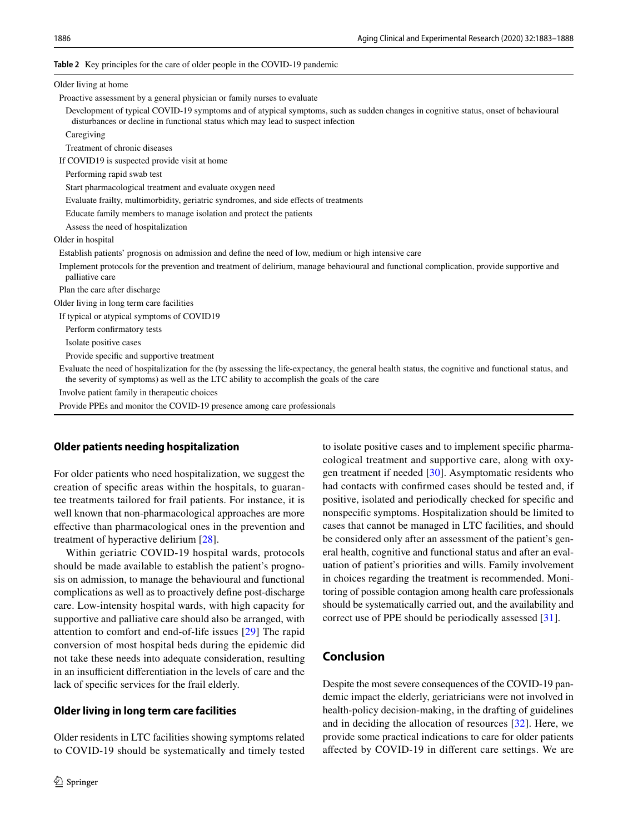#### <span id="page-3-0"></span>**Table 2** Key principles for the care of older people in the COVID-19 pandemic

| Older living at home                                                                                                                                                                                                                            |
|-------------------------------------------------------------------------------------------------------------------------------------------------------------------------------------------------------------------------------------------------|
| Proactive assessment by a general physician or family nurses to evaluate                                                                                                                                                                        |
| Development of typical COVID-19 symptoms and of atypical symptoms, such as sudden changes in cognitive status, onset of behavioural<br>disturbances or decline in functional status which may lead to suspect infection                         |
| Caregiving                                                                                                                                                                                                                                      |
| Treatment of chronic diseases                                                                                                                                                                                                                   |
| If COVID19 is suspected provide visit at home                                                                                                                                                                                                   |
| Performing rapid swab test                                                                                                                                                                                                                      |
| Start pharmacological treatment and evaluate oxygen need                                                                                                                                                                                        |
| Evaluate frailty, multimorbidity, geriatric syndromes, and side effects of treatments                                                                                                                                                           |
| Educate family members to manage isolation and protect the patients                                                                                                                                                                             |
| Assess the need of hospitalization                                                                                                                                                                                                              |
| Older in hospital                                                                                                                                                                                                                               |
| Establish patients' prognosis on admission and define the need of low, medium or high intensive care                                                                                                                                            |
| Implement protocols for the prevention and treatment of delirium, manage behavioural and functional complication, provide supportive and<br>palliative care                                                                                     |
| Plan the care after discharge                                                                                                                                                                                                                   |
| Older living in long term care facilities                                                                                                                                                                                                       |
| If typical or atypical symptoms of COVID19                                                                                                                                                                                                      |
| Perform confirmatory tests                                                                                                                                                                                                                      |
| Isolate positive cases                                                                                                                                                                                                                          |
| Provide specific and supportive treatment                                                                                                                                                                                                       |
| Evaluate the need of hospitalization for the (by assessing the life-expectancy, the general health status, the cognitive and functional status, and<br>the severity of symptoms) as well as the LTC ability to accomplish the goals of the care |
| Involve patient family in the rapeutic choices                                                                                                                                                                                                  |
| Provide PPEs and monitor the COVID-19 presence among care professionals                                                                                                                                                                         |
|                                                                                                                                                                                                                                                 |

### **Older patients needing hospitalization**

For older patients who need hospitalization, we suggest the creation of specifc areas within the hospitals, to guarantee treatments tailored for frail patients. For instance, it is well known that non-pharmacological approaches are more efective than pharmacological ones in the prevention and treatment of hyperactive delirium [[28](#page-5-7)].

Within geriatric COVID-19 hospital wards, protocols should be made available to establish the patient's prognosis on admission, to manage the behavioural and functional complications as well as to proactively defne post-discharge care. Low-intensity hospital wards, with high capacity for supportive and palliative care should also be arranged, with attention to comfort and end-of-life issues [\[29\]](#page-5-8) The rapid conversion of most hospital beds during the epidemic did not take these needs into adequate consideration, resulting in an insufficient differentiation in the levels of care and the lack of specifc services for the frail elderly.

### **Older living in long term care facilities**

Older residents in LTC facilities showing symptoms related to COVID-19 should be systematically and timely tested to isolate positive cases and to implement specifc pharmacological treatment and supportive care, along with oxygen treatment if needed [[30\]](#page-5-9). Asymptomatic residents who had contacts with confrmed cases should be tested and, if positive, isolated and periodically checked for specifc and nonspecifc symptoms. Hospitalization should be limited to cases that cannot be managed in LTC facilities, and should be considered only after an assessment of the patient's general health, cognitive and functional status and after an evaluation of patient's priorities and wills. Family involvement in choices regarding the treatment is recommended. Monitoring of possible contagion among health care professionals should be systematically carried out, and the availability and correct use of PPE should be periodically assessed [[31\]](#page-5-10).

## **Conclusion**

Despite the most severe consequences of the COVID-19 pandemic impact the elderly, geriatricians were not involved in health-policy decision-making, in the drafting of guidelines and in deciding the allocation of resources [\[32](#page-5-11)]. Here, we provide some practical indications to care for older patients afected by COVID-19 in diferent care settings. We are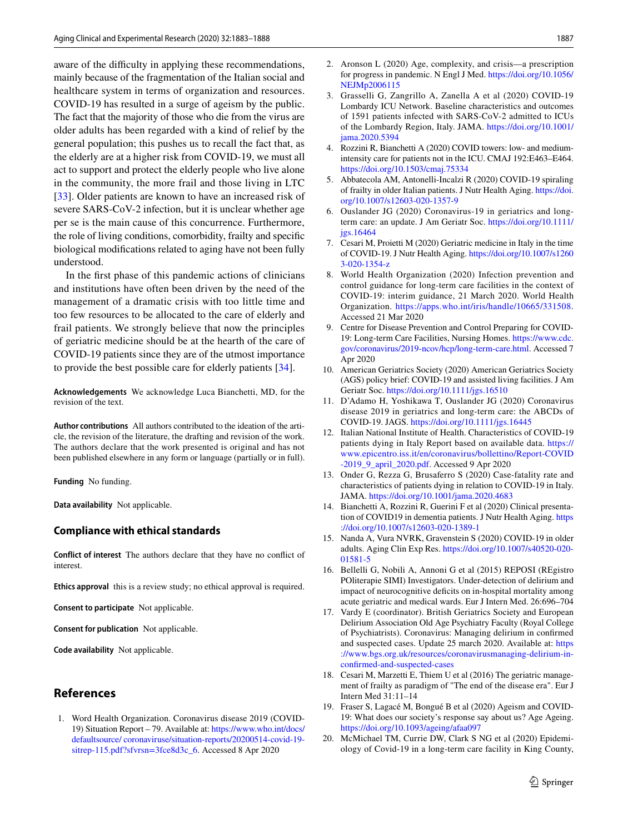aware of the difficulty in applying these recommendations, mainly because of the fragmentation of the Italian social and healthcare system in terms of organization and resources. COVID-19 has resulted in a surge of ageism by the public. The fact that the majority of those who die from the virus are older adults has been regarded with a kind of relief by the general population; this pushes us to recall the fact that, as the elderly are at a higher risk from COVID-19, we must all act to support and protect the elderly people who live alone in the community, the more frail and those living in LTC [\[33\]](#page-5-12). Older patients are known to have an increased risk of severe SARS-CoV-2 infection, but it is unclear whether age per se is the main cause of this concurrence. Furthermore, the role of living conditions, comorbidity, frailty and specifc biological modifcations related to aging have not been fully understood.

In the frst phase of this pandemic actions of clinicians and institutions have often been driven by the need of the management of a dramatic crisis with too little time and too few resources to be allocated to the care of elderly and frail patients. We strongly believe that now the principles of geriatric medicine should be at the hearth of the care of COVID-19 patients since they are of the utmost importance to provide the best possible care for elderly patients [\[34](#page-5-13)].

**Acknowledgements** We acknowledge Luca Bianchetti, MD, for the revision of the text.

**Author contributions** All authors contributed to the ideation of the article, the revision of the literature, the drafting and revision of the work. The authors declare that the work presented is original and has not been published elsewhere in any form or language (partially or in full).

**Funding** No funding.

**Data availability** Not applicable.

### **Compliance with ethical standards**

**Conflict of interest** The authors declare that they have no confict of interest.

**Ethics approval** this is a review study; no ethical approval is required.

**Consent to participate** Not applicable.

**Consent for publication** Not applicable.

**Code availability** Not applicable.

# **References**

<span id="page-4-0"></span>1. Word Health Organization. Coronavirus disease 2019 (COVID-19) Situation Report – 79. Available at: [https://www.who.int/docs/](https://www.who.int/docs/default-source/coronaviruse/situation-reports/20200514-covid-19-sitrep-115.pdf?sfvrsn=3fce8d3c_6) [defaultsource/ coronaviruse/situation-reports/20200514-covid-19](https://www.who.int/docs/default-source/coronaviruse/situation-reports/20200514-covid-19-sitrep-115.pdf?sfvrsn=3fce8d3c_6) [sitrep-115.pdf?sfvrsn=3fce8d3c\\_6](https://www.who.int/docs/default-source/coronaviruse/situation-reports/20200514-covid-19-sitrep-115.pdf?sfvrsn=3fce8d3c_6). Accessed 8 Apr 2020

- <span id="page-4-1"></span>2. Aronson L (2020) Age, complexity, and crisis—a prescription for progress in pandemic. N Engl J Med. [https://doi.org/10.1056/](https://doi.org/10.1056/NEJMp2006115) [NEJMp2006115](https://doi.org/10.1056/NEJMp2006115)
- <span id="page-4-2"></span>3. Grasselli G, Zangrillo A, Zanella A et al (2020) COVID-19 Lombardy ICU Network. Baseline characteristics and outcomes of 1591 patients infected with SARS-CoV-2 admitted to ICUs of the Lombardy Region, Italy. JAMA. [https://doi.org/10.1001/](https://doi.org/10.1001/jama.2020.5394) iama.2020.5394
- <span id="page-4-3"></span>4. Rozzini R, Bianchetti A (2020) COVID towers: low- and mediumintensity care for patients not in the ICU. CMAJ 192:E463–E464. <https://doi.org/10.1503/cmaj.75334>
- <span id="page-4-4"></span>5. Abbatecola AM, Antonelli-Incalzi R (2020) COVID-19 spiraling of frailty in older Italian patients. J Nutr Health Aging. [https://doi.](https://doi.org/10.1007/s12603-020-1357-9) [org/10.1007/s12603-020-1357-9](https://doi.org/10.1007/s12603-020-1357-9)
- 6. Ouslander JG (2020) Coronavirus-19 in geriatrics and longterm care: an update. J Am Geriatr Soc. [https://doi.org/10.1111/](https://doi.org/10.1111/jgs.16464) [jgs.16464](https://doi.org/10.1111/jgs.16464)
- <span id="page-4-5"></span>7. Cesari M, Proietti M (2020) Geriatric medicine in Italy in the time of COVID-19. J Nutr Health Aging. [https://doi.org/10.1007/s1260](https://doi.org/10.1007/s12603-020-1354-z) [3-020-1354-z](https://doi.org/10.1007/s12603-020-1354-z)
- <span id="page-4-6"></span>8. World Health Organization (2020) Infection prevention and control guidance for long-term care facilities in the context of COVID-19: interim guidance, 21 March 2020. World Health Organization. [https://apps.who.int/iris/handle/10665/331508.](https://apps.who.int/iris/handle/10665/331508) Accessed 21 Mar 2020
- 9. Centre for Disease Prevention and Control Preparing for COVID-19: Long-term Care Facilities, Nursing Homes. [https://www.cdc.](https://www.cdc.gov/coronavirus/2019-ncov/hcp/long-term-care.html) [gov/coronavirus/2019-ncov/hcp/long-term-care.html.](https://www.cdc.gov/coronavirus/2019-ncov/hcp/long-term-care.html) Accessed 7 Apr 2020
- <span id="page-4-7"></span>10. American Geriatrics Society (2020) American Geriatrics Society (AGS) policy brief: COVID-19 and assisted living facilities. J Am Geriatr Soc. <https://doi.org/10.1111/jgs.16510>
- <span id="page-4-8"></span>11. D'Adamo H, Yoshikawa T, Ouslander JG (2020) Coronavirus disease 2019 in geriatrics and long-term care: the ABCDs of COVID-19. JAGS. <https://doi.org/10.1111/jgs.16445>
- <span id="page-4-9"></span>12. Italian National Institute of Health. Characteristics of COVID-19 patients dying in Italy Report based on available data. [https://](https://www.epicentro.iss.it/en/coronavirus/bollettino/Report-COVID-2019_9_april_2020.pdf) [www.epicentro.iss.it/en/coronavirus/bollettino/Report-COVID](https://www.epicentro.iss.it/en/coronavirus/bollettino/Report-COVID-2019_9_april_2020.pdf) [-2019\\_9\\_april\\_2020.pdf](https://www.epicentro.iss.it/en/coronavirus/bollettino/Report-COVID-2019_9_april_2020.pdf). Accessed 9 Apr 2020
- <span id="page-4-10"></span>13. Onder G, Rezza G, Brusaferro S (2020) Case-fatality rate and characteristics of patients dying in relation to COVID-19 in Italy. JAMA.<https://doi.org/10.1001/jama.2020.4683>
- <span id="page-4-11"></span>14. Bianchetti A, Rozzini R, Guerini F et al (2020) Clinical presentation of COVID19 in dementia patients. J Nutr Health Aging. [https](https://doi.org/10.1007/s12603-020-1389-1) [://doi.org/10.1007/s12603-020-1389-1](https://doi.org/10.1007/s12603-020-1389-1)
- <span id="page-4-12"></span>15. Nanda A, Vura NVRK, Gravenstein S (2020) COVID-19 in older adults. Aging Clin Exp Res. [https://doi.org/10.1007/s40520-020-](https://doi.org/10.1007/s40520-020-01581-5) [01581-5](https://doi.org/10.1007/s40520-020-01581-5)
- <span id="page-4-13"></span>16. Bellelli G, Nobili A, Annoni G et al (2015) REPOSI (REgistro POliterapie SIMI) Investigators. Under-detection of delirium and impact of neurocognitive deficits on in-hospital mortality among acute geriatric and medical wards. Eur J Intern Med. 26:696–704
- <span id="page-4-14"></span>17. Vardy E (coordinator). British Geriatrics Society and European Delirium Association Old Age Psychiatry Faculty (Royal College of Psychiatrists). Coronavirus: Managing delirium in confrmed and suspected cases. Update 25 march 2020. Available at: [https](https://www.bgs.org.uk/resources/coronavirusmanaging-delirium-in-confirmed-and-suspected-cases) [://www.bgs.org.uk/resources/coronavirusmanaging-delirium-in](https://www.bgs.org.uk/resources/coronavirusmanaging-delirium-in-confirmed-and-suspected-cases)[confrmed-and-suspected-cases](https://www.bgs.org.uk/resources/coronavirusmanaging-delirium-in-confirmed-and-suspected-cases)
- <span id="page-4-15"></span>18. Cesari M, Marzetti E, Thiem U et al (2016) The geriatric management of frailty as paradigm of "The end of the disease era". Eur J Intern Med 31:11–14
- <span id="page-4-16"></span>19. Fraser S, Lagacé M, Bongué B et al (2020) Ageism and COVID-19: What does our society's response say about us? Age Ageing. <https://doi.org/10.1093/ageing/afaa097>
- <span id="page-4-17"></span>20. McMichael TM, Currie DW, Clark S NG et al (2020) Epidemiology of Covid-19 in a long-term care facility in King County,